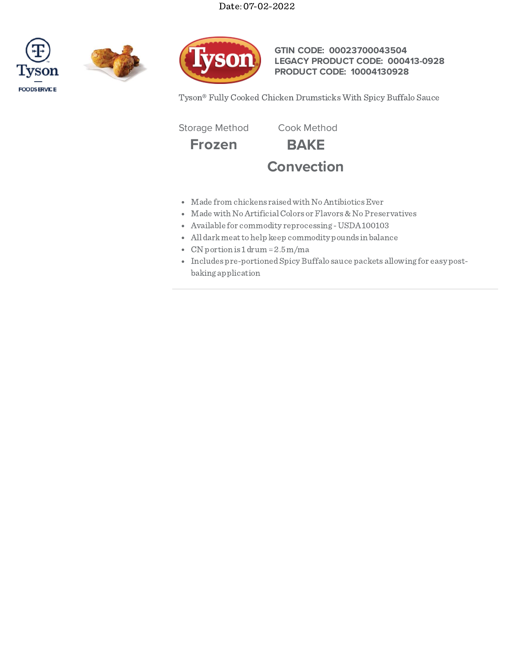Date: 07-02-2022







## **GTIN CODE: 00023700043504 LEGACY PRODUCT CODE: 000413-0928 PRODUCT CODE: 10004130928**

Tyson® Fully Cooked Chicken Drumsticks With Spicy Buffalo Sauce

Storage Method Cook Method

**Frozen BAKE**



- Made from chickens raised with No Antibiotics Ever
- Made with NoArtificialColors or Flavors&NoPreservatives
- Available for commodity reprocessing -USDA100103
- All darkmeattohelp keep commodity pounds in balance
- CN portion is  $1 \text{ drum} = 2.5 \text{ m/mol}$
- Includes pre-portioned Spicy Buffalo sauce packets allowing for easy postbaking application